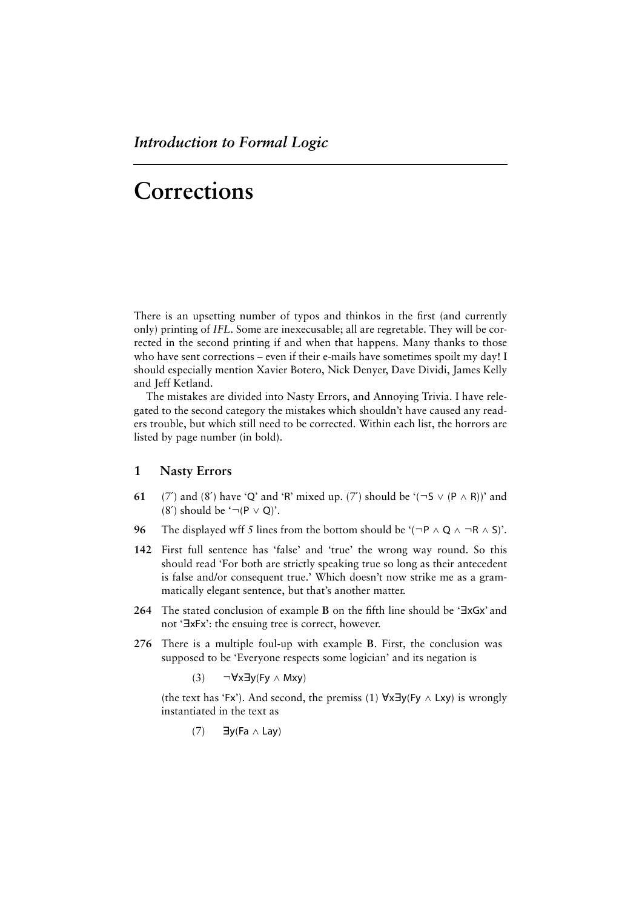There is an upsetting number of typos and thinkos in the first (and currently only) printing of *IFL*. Some are inexecusable; all are regretable. They will be corrected in the second printing if and when that happens. Many thanks to those who have sent corrections – even if their e-mails have sometimes spoilt my day! I should especially mention Xavier Botero, Nick Denyer, Dave Dividi, James Kelly and Jeff Ketland.

The mistakes are divided into Nasty Errors, and Annoying Trivia. I have relegated to the second category the mistakes which shouldn't have caused any readers trouble, but which still need to be corrected. Within each list, the horrors are listed by page number (in bold).

# **1 Nasty Errors**

- **61** (7′) and (8′) have 'Q' and 'R' mixed up. (7′) should be  $'(\neg S \vee (P \wedge R))'$  and (8') should be ' $\neg (P \lor Q)$ '.
- **96** The displayed wff 5 lines from the bottom should be ' $(\neg P \land Q \land \neg R \land S)$ '.
- **142** First full sentence has 'false' and 'true' the wrong way round. So this should read 'For both are strictly speaking true so long as their antecedent is false and/or consequent true.' Which doesn't now strike me as a grammatically elegant sentence, but that's another matter.
- **264** The stated conclusion of example **B** on the fifth line should be '**ExGx'** and not 'ExFx': the ensuing tree is correct, however.
- **276** There is a multiple foul-up with example **B**. First, the conclusion was supposed to be 'Everyone respects some logician' and its negation is

(3)  $\neg$ ∀x∃y(Fy ∧ Mxy)

(the text has 'Fx'). And second, the premiss (1)  $\forall x \exists y$ (Fy  $\wedge$  Lxy) is wrongly instantiated in the text as

$$
(7) \qquad \exists y (Fa \wedge Lay)
$$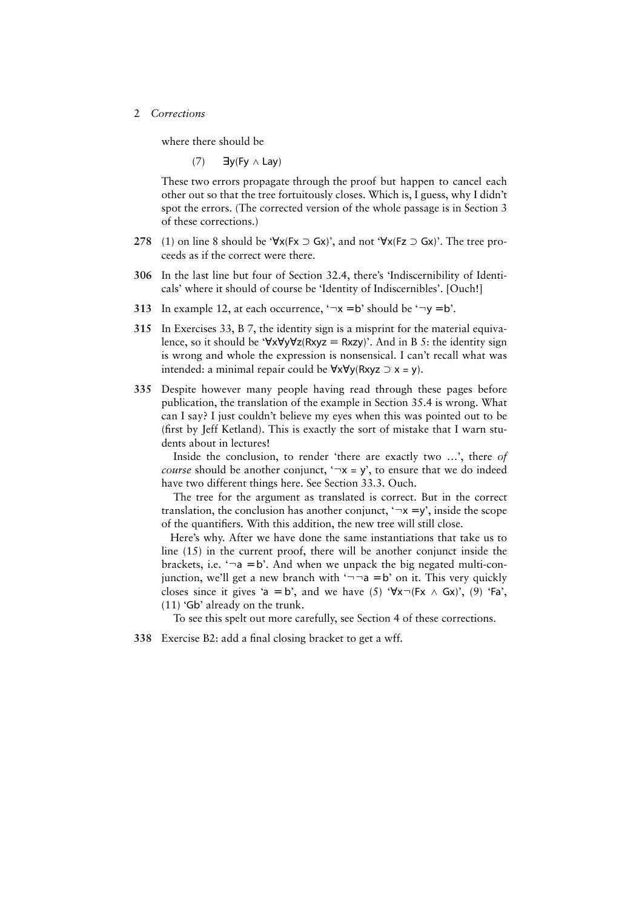where there should be

 $(7)$  ∃y(Fy ∧ Lay)

These two errors propagate through the proof but happen to cancel each other out so that the tree fortuitously closes. Which is, I guess, why I didn't spot the errors. (The corrected version of the whole passage is in Section 3 of these corrections.)

- 278 (1) on line 8 should be ' $\forall x$ (Fx ⊃ Gx)', and not ' $\forall x$ (Fz ⊃ Gx)'. The tree proceeds as if the correct were there.
- **306** In the last line but four of Section 32.4, there's 'Indiscernibility of Identicals' where it should of course be 'Identity of Indiscernibles'. [Ouch!]
- **313** In example 12, at each occurrence,  $\neg x = b$  should be  $\neg y = b$ .
- **315** In Exercises 33, B 7, the identity sign is a misprint for the material equivalence, so it should be ' $\forall x \forall y \forall z$ (Rxyz = Rxzy)'. And in B 5: the identity sign is wrong and whole the expression is nonsensical. I can't recall what was intended: a minimal repair could be  $\forall x \forall y$ (Rxyz  $\supset x = y$ ).
- **335** Despite however many people having read through these pages before publication, the translation of the example in Section 35.4 is wrong. What can I say? I just couldn't believe my eyes when this was pointed out to be (first by Jeff Ketland). This is exactly the sort of mistake that I warn students about in lectures!

 Inside the conclusion, to render 'there are exactly two …', there *of course* should be another conjunct,  $\forall x = y'$ , to ensure that we do indeed have two different things here. See Section 33.3. Ouch.

 The tree for the argument as translated is correct. But in the correct translation, the conclusion has another conjunct,  $\neg x = y'$ , inside the scope of the quantifiers. With this addition, the new tree will still close.

 Here's why. After we have done the same instantiations that take us to line (15) in the current proof, there will be another conjunct inside the brackets, i.e.  $\neg a = b$ . And when we unpack the big negated multi-conjunction, we'll get a new branch with  $\neg \neg a = b'$  on it. This very quickly closes since it gives 'a = b', and we have (5) ' $\forall x \neg (Fx \land Gx)$ ', (9) 'Fa', (11) 'Gb' already on the trunk.

To see this spelt out more carefully, see Section 4 of these corrections.

**338** Exercise B2: add a final closing bracket to get a wff.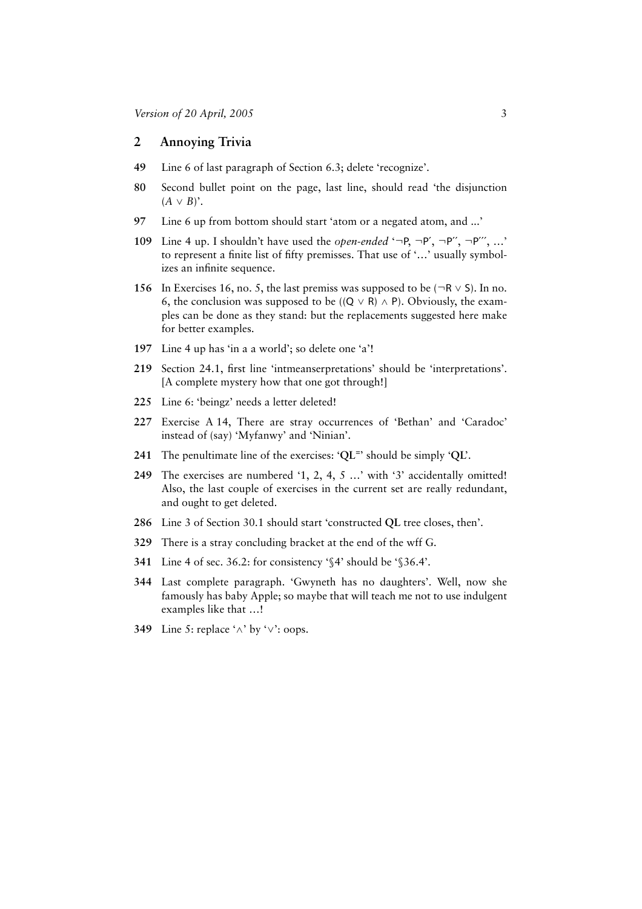# **2 Annoying Trivia**

- **49** Line 6 of last paragraph of Section 6.3; delete 'recognize'.
- **80** Second bullet point on the page, last line, should read 'the disjunction  $(A \vee B)$ <sup>\*</sup>.
- **97** Line 6 up from bottom should start 'atom or a negated atom, and ...'
- **109** Line 4 up. I shouldn't have used the *open-ended* '¬P, ¬P′, ¬P′′, ¬P′′′, …' to represent a finite list of fifty premisses. That use of '…' usually symbolizes an infinite sequence.
- **156** In Exercises 16, no. 5, the last premiss was supposed to be ( $\neg R \vee S$ ). In no. 6, the conclusion was supposed to be ((Q  $\vee$  R)  $\wedge$  P). Obviously, the examples can be done as they stand: but the replacements suggested here make for better examples.
- **197** Line 4 up has 'in a a world'; so delete one 'a'!
- **219** Section 24.1, first line 'intmeanserpretations' should be 'interpretations'. [A complete mystery how that one got through!]
- **225** Line 6: 'beingz' needs a letter deleted!
- **227** Exercise A 14, There are stray occurrences of 'Bethan' and 'Caradoc' instead of (say) 'Myfanwy' and 'Ninian'.
- **241** The penultimate line of the exercises: '**QL**=' should be simply '**QL**'.
- **249** The exercises are numbered '1, 2, 4, 5 …' with '3' accidentally omitted! Also, the last couple of exercises in the current set are really redundant, and ought to get deleted.
- **286** Line 3 of Section 30.1 should start 'constructed **QL** tree closes, then'.
- **329** There is a stray concluding bracket at the end of the wff G.
- **341** Line 4 of sec. 36.2: for consistency '§4' should be '§36.4'.
- **344** Last complete paragraph. 'Gwyneth has no daughters'. Well, now she famously has baby Apple; so maybe that will teach me not to use indulgent examples like that …!
- **349** Line 5: replace '∧' by '∨': oops.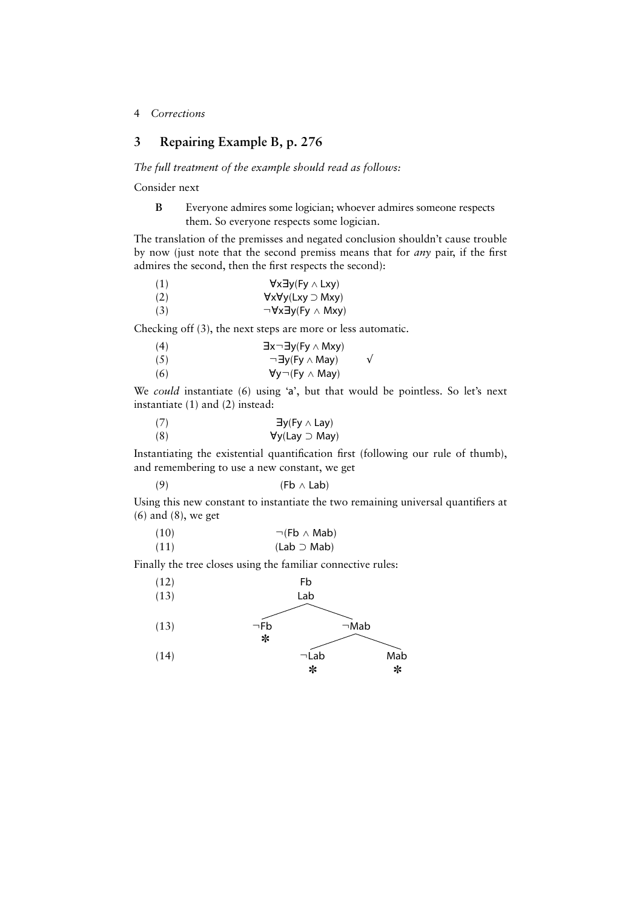# **3 Repairing Example B, p. 276**

#### *The full treatment of the example should read as follows:*

Consider next

**B** Everyone admires some logician; whoever admires someone respects them. So everyone respects some logician.

The translation of the premisses and negated conclusion shouldn't cause trouble by now (just note that the second premiss means that for *any* pair, if the first admires the second, then the first respects the second):

| (1) | $\forall x \exists y (Fy \wedge Lxy)$     |
|-----|-------------------------------------------|
| (2) | $\forall x \forall y (Lxy \supset Mxy)$   |
| (3) | $\neg \forall x \exists y (Fy \land Mxy)$ |
|     |                                           |

Checking off (3), the next steps are more or less automatic.

| (4) | $\exists x \neg \exists y (Fy \land Mxy)$ |  |
|-----|-------------------------------------------|--|
| (5) | $\neg \exists y$ (Fy $\wedge$ May)        |  |
| (6) | $\forall y \neg (Fy \land May)$           |  |

We *could* instantiate (6) using 'a', but that would be pointless. So let's next instantiate (1) and (2) instead:

| $\exists y$ (Fy $\wedge$ Lay)   |
|---------------------------------|
| $\forall y$ (Lay $\supset$ May) |
|                                 |

Instantiating the existential quantification first (following our rule of thumb), and remembering to use a new constant, we get

$$
(9) \t\t\t (Fb \wedge Lab)
$$

Using this new constant to instantiate the two remaining universal quantifiers at (6) and (8), we get

| (10) | $\neg$ (Fb $\land$ Mab) |
|------|-------------------------|
| (11) | $(Lab \supset Mab)$     |

Finally the tree closes using the familiar connective rules:

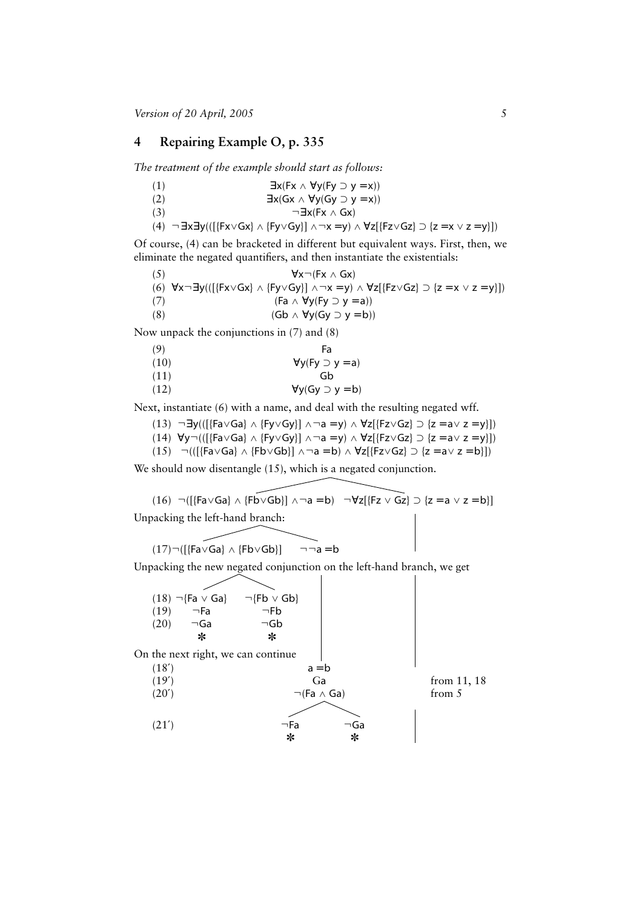### **4 Repairing Example O, p. 335**

*The treatment of the example should start as follows:*

| (1) | $\exists x (Fx \land \forall y (Fy \supset y = x))$ |
|-----|-----------------------------------------------------|
| (2) | $\exists x(Gx \land \forall y(Gy \supset y = x))$   |
| (3) | $\neg \exists x$ (Fx $\wedge$ Gx)                   |

(4) ¬∃x∃y(([{Fx∨Gx} ∧ {Fy∨Gy}] ∧¬x = y) ∧  $\forall$ z[{Fz∨Gz} ⊃ {z = x ∨ z = y}])

Of course, (4) can be bracketed in different but equivalent ways. First, then, we eliminate the negated quantifiers, and then instantiate the existentials:

| (5) | $\forall x \neg (Fx \land Gx)$                                                                                                                            |
|-----|-----------------------------------------------------------------------------------------------------------------------------------------------------------|
|     | (6) $\forall x \neg \exists y (([ \{Fx \lor Gx\} \land \{Fy \lor Gy\}) \land \neg x = y) \land \forall z [ \{Fz \lor Gz\} \supset \{z = x \lor z = y\}])$ |
| (7) | $(Fa \wedge \forall y (Fy \supset y = a))$                                                                                                                |
| (8) | $(Gb \wedge \forall y(Gy \supset y = b))$                                                                                                                 |

Now unpack the conjunctions in (7) and (8)

| (9)  | Fa                             |
|------|--------------------------------|
| (10) | $\forall y (Fy \supset y = a)$ |
| (11) | Gh                             |
| (12) | $\forall y (Gy \supset y = b)$ |

Next, instantiate (6) with a name, and deal with the resulting negated wff.

(13) ¬∃y(([{Fa∨Ga} ∧ {Fy∨Gy}] ∧¬a = y) ∧  $\forall$ z[{Fz∨Gz}  $\supset$  {z = a $\vee$  z = y}])

$$
(14) \ \ \forall y \neg (([\{Fa \lor Ga\} \land \{Fy \lor Gy\}] \land \neg a = y) \land \ \forall z [\{Fz \lor Gz\} \supset \{z = a \lor z = y\}])
$$

(15)  $\neg(([\text{Fa}\vee \text{Ga}]\wedge \{\text{Fb}\vee \text{Gb}\}\wedge \neg a = b) \wedge \forall z[(\text{Fz}\vee \text{Gz}] \supset \{z = a \vee z = b\}])$ 

We should now disentangle (15), which is a negated conjunction.

(16) ¬([{Fa∨Ga} ∧ {Fb∨Gb}] ∧¬a = b) ¬ $\forall$ z[{Fz ∨ Gz} ⊃ {z = a ∨ z = b}] Unpacking the left-hand branch:

$$
(17)\neg\big([\{\text{Fa}\vee\text{Ga}\}\wedge\{\text{Fb}\vee\text{Gb}\}\big]\qquad\neg\neg a=b
$$

Unpacking the new negated conjunction on the left-hand branch, we get

(18) ¬{Fa ∨ Ga} → {Fb ∨ Gb}<br>(19) → Fa → Fb  $(19)$   $\neg$ Fa<br> $(20)$   $\neg$ Ga ⊤Ga ¬Gb<br>\* → ✼ ✼ On the next right, we can continue  $(18')$   $a = b$ (19<sup>'</sup>) Ga from 11, 18 (20<sup> $\prime$ </sup>)  $\neg$  (Fa  $\land$  Ga) from 5  $(21')$   $\neg$ Fa  $\neg$ Ga ✼ ✼